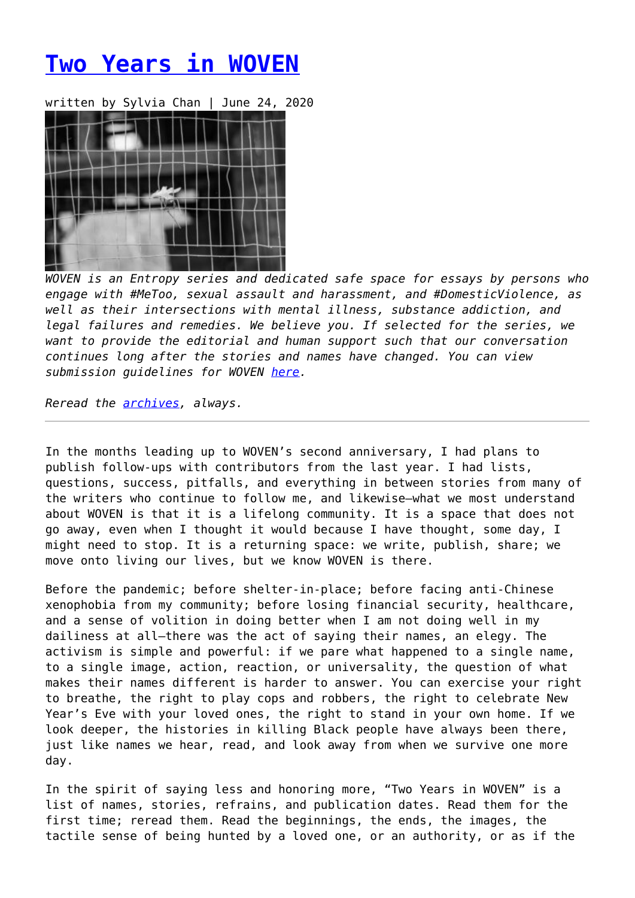# **[Two Years in WOVEN](https://entropymag.org/two-years-in-woven/)**

written by Sylvia Chan | June 24, 2020



*WOVEN is an Entropy series and dedicated safe space for essays by persons who engage with #MeToo, sexual assault and harassment, and #DomesticViolence, as well as their intersections with mental illness, substance addiction, and legal failures and remedies. We believe you. If selected for the series, we want to provide the editorial and human support such that our conversation continues long after the stories and names have changed. You can view submission guidelines for WOVEN [here.](https://entropymag.org/woven-call-for-submissions/)*

*Reread the [archives](https://entropymag.org/tag/woven/), always.* 

In the months leading up to WOVEN's second anniversary, I had plans to publish follow-ups with contributors from the last year. I had lists, questions, success, pitfalls, and everything in between stories from many of the writers who continue to follow me, and likewise—what we most understand about WOVEN is that it is a lifelong community. It is a space that does not go away, even when I thought it would because I have thought, some day, I might need to stop. It is a returning space: we write, publish, share; we move onto living our lives, but we know WOVEN is there.

Before the pandemic; before shelter-in-place; before facing anti-Chinese xenophobia from my community; before losing financial security, healthcare, and a sense of volition in doing better when I am not doing well in my dailiness at all—there was the act of saying their names, an elegy. The activism is simple and powerful: if we pare what happened to a single name, to a single image, action, reaction, or universality, the question of what makes their names different is harder to answer. You can exercise your right to breathe, the right to play cops and robbers, the right to celebrate New Year's Eve with your loved ones, the right to stand in your own home. If we look deeper, the histories in killing Black people have always been there, just like names we hear, read, and look away from when we survive one more day.

In the spirit of saying less and honoring more, "Two Years in WOVEN" is a list of names, stories, refrains, and publication dates. Read them for the first time; reread them. Read the beginnings, the ends, the images, the tactile sense of being hunted by a loved one, or an authority, or as if the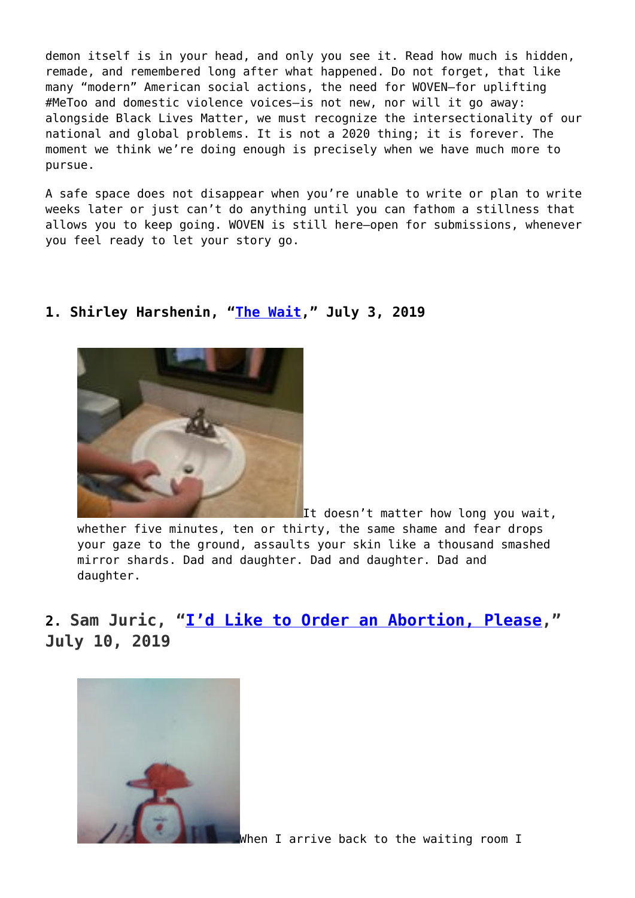demon itself is in your head, and only you see it. Read how much is hidden, remade, and remembered long after what happened. Do not forget, that like many "modern" American social actions, the need for WOVEN—for uplifting #MeToo and domestic violence voices—is not new, nor will it go away: alongside Black Lives Matter, we must recognize the intersectionality of our national and global problems. It is not a 2020 thing; it is forever. The moment we think we're doing enough is precisely when we have much more to pursue.

A safe space does not disappear when you're unable to write or plan to write weeks later or just can't do anything until you can fathom a stillness that allows you to keep going. WOVEN is still here—open for submissions, whenever you feel ready to let your story go.

#### **1. Shirley Harshenin, "[The Wait,](https://entropymag.org/woven-the-wait/)" July 3, 2019**



It doesn't matter how long you wait, whether five minutes, ten or thirty, the same shame and fear drops your gaze to the ground, assaults your skin like a thousand smashed mirror shards. Dad and daughter. Dad and daughter. Dad and daughter.

**2. Sam Juric, ["I'd Like to Order an Abortion, Please](https://entropymag.org/woven-id-like-to-order-an-abortion-please/)," July 10, 2019**



[W](https://entropymag.org/woven-id-like-to-order-an-abortion-please/photo559078795042_inner_139-364-486-368-139-708-480-719/)hen I arrive back to the waiting room I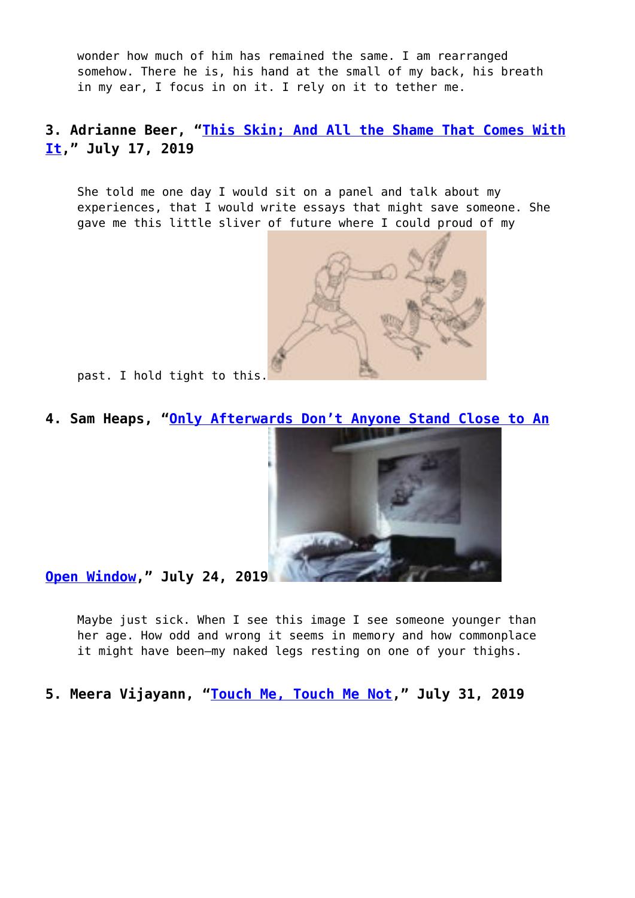wonder how much of him has remained the same. I am rearranged somehow. There he is, his hand at the small of my back, his breath in my ear, I focus in on it. I rely on it to tether me.

## **3. Adrianne Beer, "[This Skin; And All the Shame That Comes With](https://entropymag.org/woven-this-skin-and-all-the-shame-that-comes-with-it/) [It](https://entropymag.org/woven-this-skin-and-all-the-shame-that-comes-with-it/)," July 17, 2019**

She told me one day I would sit on a panel and talk about my experiences, that I would write essays that might save someone. She gave me this little sliver of future where I could proud of my



past. I hold tight to this[.](https://entropymag.org/woven-this-skin-and-all-the-shame-that-comes-with-it/birdorboxer/)

**4. Sam Heaps, "[Only Afterwards Don't Anyone Stand Close to An](https://entropymag.org/woven-only-afterwards-dont-anyone-stand-close-to-an-open-window/)**



**[Open Window,](https://entropymag.org/woven-only-afterwards-dont-anyone-stand-close-to-an-open-window/)" July 24, 2019**

Maybe just sick. When I see this image I see someone younger than her age. How odd and wrong it seems in memory and how commonplace it might have been—my naked legs resting on one of your thighs.

**5. Meera Vijayann, ["Touch Me, Touch Me Not,](https://entropymag.org/woven-touch-me-touch-me-not/)" July 31, 2019**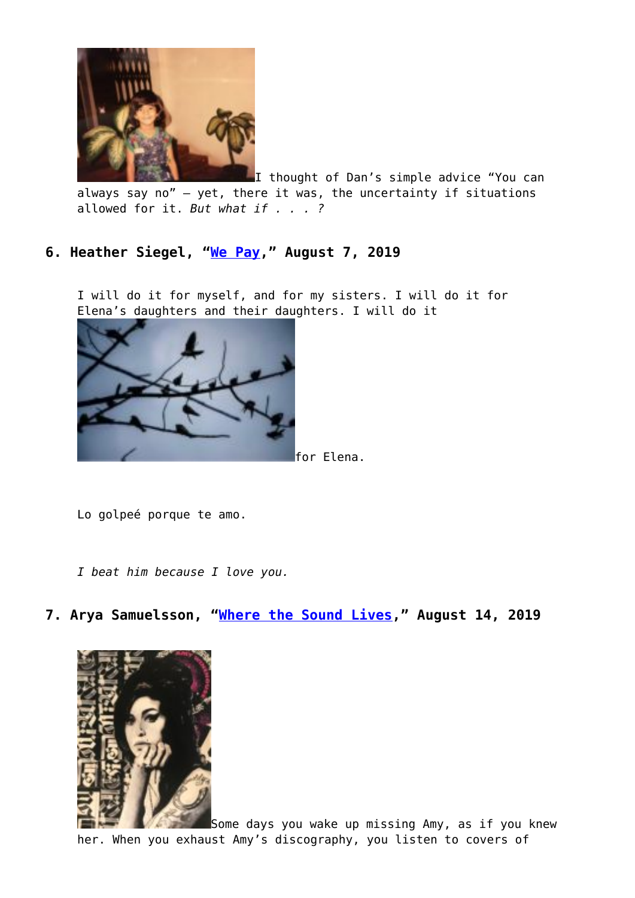

I thought of Dan's simple advice "You can always say no" – yet, there it was, the uncertainty if situations allowed for it. *But what if . . . ?*

## **6. Heather Siegel, ["We Pay,](https://entropymag.org/woven-we-pay/)" August 7, 2019**

I will do it for myself, and for my sisters. I will do it for Elena's daughters and their daughters. I will do it



Lo golpeé porque te amo.

*I beat him because I love you.*

**7. Arya Samuelsson, ["Where the Sound Lives,](https://entropymag.org/woven-where-the-sound-lives/)" August 14, 2019**



[S](https://entropymag.org/woven-where-the-sound-lives/img_3071/)ome days you wake up missing Amy, as if you knew her. When you exhaust Amy's discography, you listen to covers of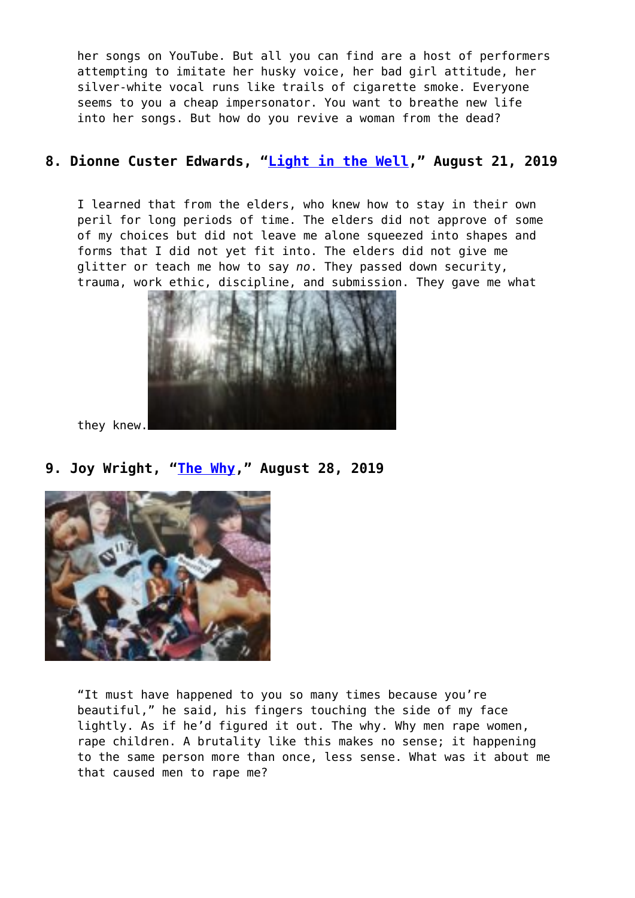her songs on YouTube. But all you can find are a host of performers attempting to imitate her husky voice, her bad girl attitude, her silver-white vocal runs like trails of cigarette smoke. Everyone seems to you a cheap impersonator. You want to breathe new life into her songs. But how do you revive a woman from the dead?

## **8. Dionne Custer Edwards, "[Light in the Well](https://entropymag.org/woven-light-in-the-well/)," August 21, 2019**

I learned that from the elders, who knew how to stay in their own peril for long periods of time. The elders did not approve of some of my choices but did not leave me alone squeezed into shapes and forms that I did not yet fit into. The elders did not give me glitter or teach me how to say *no*. They passed down security, trauma, work ethic, discipline, and submission. They gave me what



they knew.

**9. Joy Wright, ["The Why,](https://entropymag.org/woven-the-why/)" August 28, 2019**



"It must have happened to you so many times because you're beautiful," he said, his fingers touching the side of my face lightly. As if he'd figured it out. The why. Why men rape women, rape children. A brutality like this makes no sense; it happening to the same person more than once, less sense. What was it about me that caused men to rape me?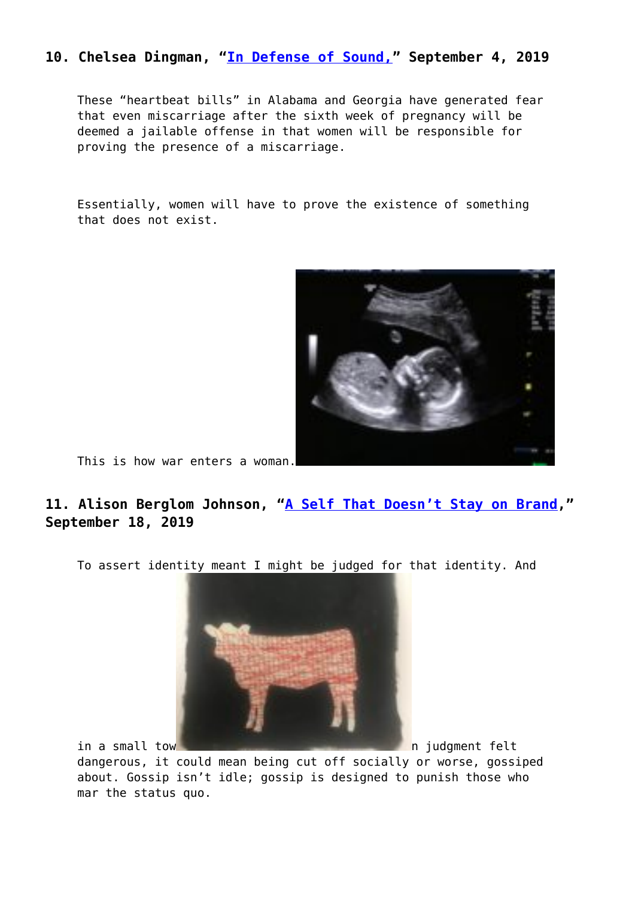## **10. Chelsea Dingman, "[In Defense of Sound,"](https://entropymag.org/woven-in-defense-of-sound/) September 4, 2019**

These "heartbeat bills" in Alabama and Georgia have generated fear that even miscarriage after the sixth week of pregnancy will be deemed a jailable offense in that women will be responsible for proving the presence of a miscarriage.

Essentially, women will have to prove the existence of something that does not exist.



This is how war enters a woman.

# **11. Alison Berglom Johnson, ["A Self That Doesn't Stay on Brand,](https://entropymag.org/woven-a-self-that-doesnt-stay-on-brand/)" September 18, 2019**

To assert identity meant I might be judged for that identity. And



i[n](https://entropymag.org/woven-a-self-that-doesnt-stay-on-brand/img_4873/) a small tow n in the state of the state of the small town in the state of the state of the state of the state of the state of the state of the state of the state of the state of the state of the state of the state of th

dangerous, it could mean being cut off socially or worse, gossiped about. Gossip isn't idle; gossip is designed to punish those who mar the status quo.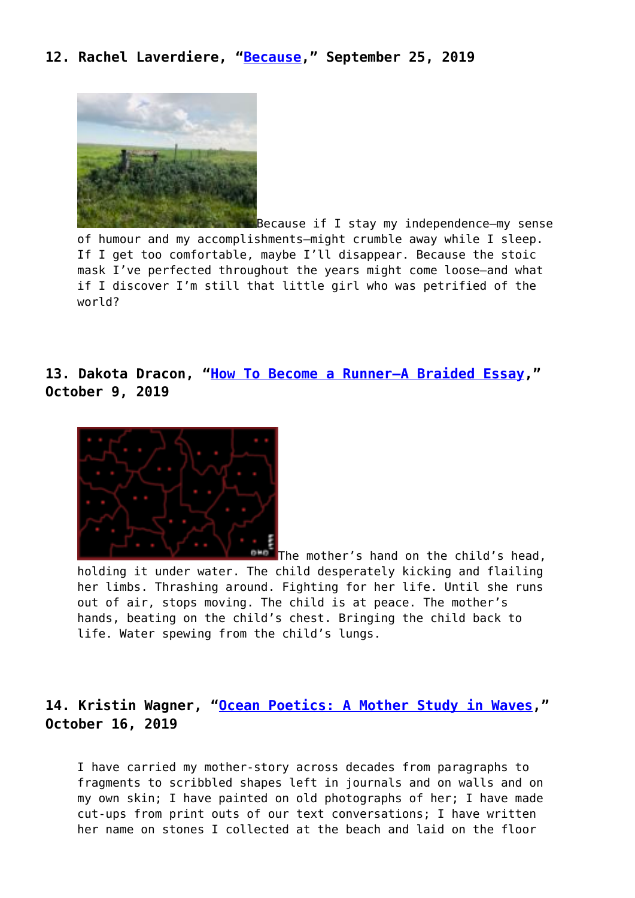#### **12. Rachel Laverdiere, ["Because,](https://entropymag.org/woven-because/)" September 25, 2019**



[B](https://entropymag.org/woven-because/fenceline/)ecause if I stay my independence—my sense of humour and my accomplishments—might crumble away while I sleep. If I get too comfortable, maybe I'll disappear. Because the stoic mask I've perfected throughout the years might come loose—and what if I discover I'm still that little girl who was petrified of the world?

**13. Dakota Dracon, ["How To Become a Runner—A Braided Essay,](https://entropymag.org/woven-how-to-become-a-runner-a-braided-essay/)" October 9, 2019**



[T](https://entropymag.org/woven-how-to-become-a-runner-a-braided-essay/draconi-headliner-image-2/)he mother's hand on the child's head. holding it under water. The child desperately kicking and flailing her limbs. Thrashing around. Fighting for her life. Until she runs out of air, stops moving. The child is at peace. The mother's hands, beating on the child's chest. Bringing the child back to life. Water spewing from the child's lungs.

## **14. Kristin Wagner, ["Ocean Poetics: A Mother Study in Waves,](https://entropymag.org/woven-oceanic-poetics-a-mother-study-in-waves/)" October 16, 2019**

I have carried my mother-story across decades from paragraphs to fragments to scribbled shapes left in journals and on walls and on my own skin; I have painted on old photographs of her; I have made cut-ups from print outs of our text conversations; I have written her name on stones I collected at the beach and laid on the floor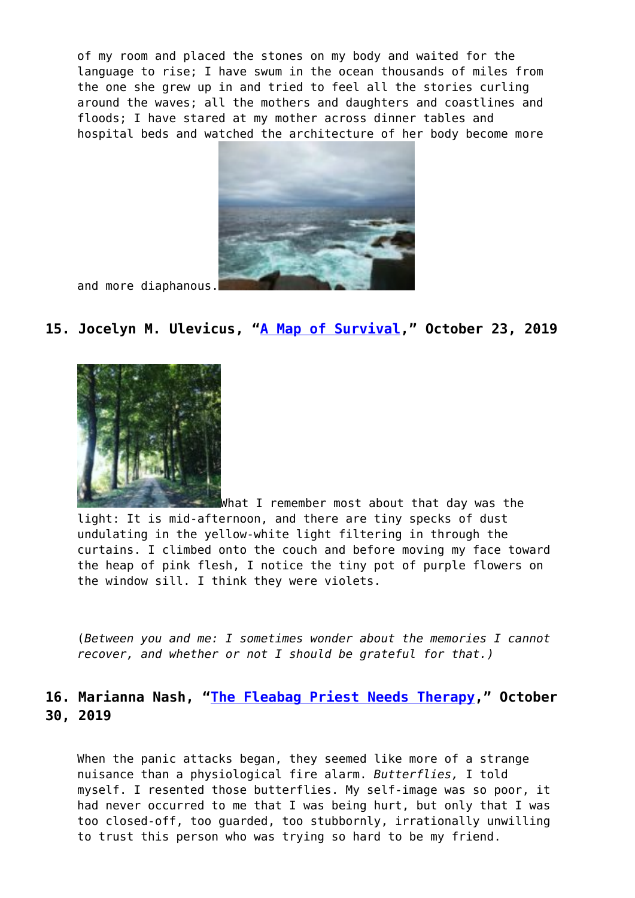of my room and placed the stones on my body and waited for the language to rise; I have swum in the ocean thousands of miles from the one she grew up in and tried to feel all the stories curling around the waves; all the mothers and daughters and coastlines and floods; I have stared at my mother across dinner tables and hospital beds and watched the architecture of her body become more



and more diaphanous.

#### **15. Jocelyn M. Ulevicus, "[A Map of Survival,](https://entropymag.org/woven-root-systems/)" October 23, 2019**



[W](https://entropymag.org/woven-root-systems/img_5526/)hat I remember most about that day was the light: It is mid-afternoon, and there are tiny specks of dust undulating in the yellow-white light filtering in through the curtains. I climbed onto the couch and before moving my face toward the heap of pink flesh, I notice the tiny pot of purple flowers on the window sill. I think they were violets.

(*Between you and me: I sometimes wonder about the memories I cannot recover, and whether or not I should be grateful for that.)*

## **16. Marianna Nash, ["The Fleabag Priest Needs Therapy](https://entropymag.org/woven-the-fleabag-priest-needs-therapy/)," October 30, 2019**

When the panic attacks began, they seemed like more of a strange nuisance than a physiological fire alarm. *Butterflies,* I told myself. I resented those butterflies. My self-image was so poor, it had never occurred to me that I was being hurt, but only that I was too closed-off, too guarded, too stubbornly, irrationally unwilling to trust this person who was trying so hard to be my friend.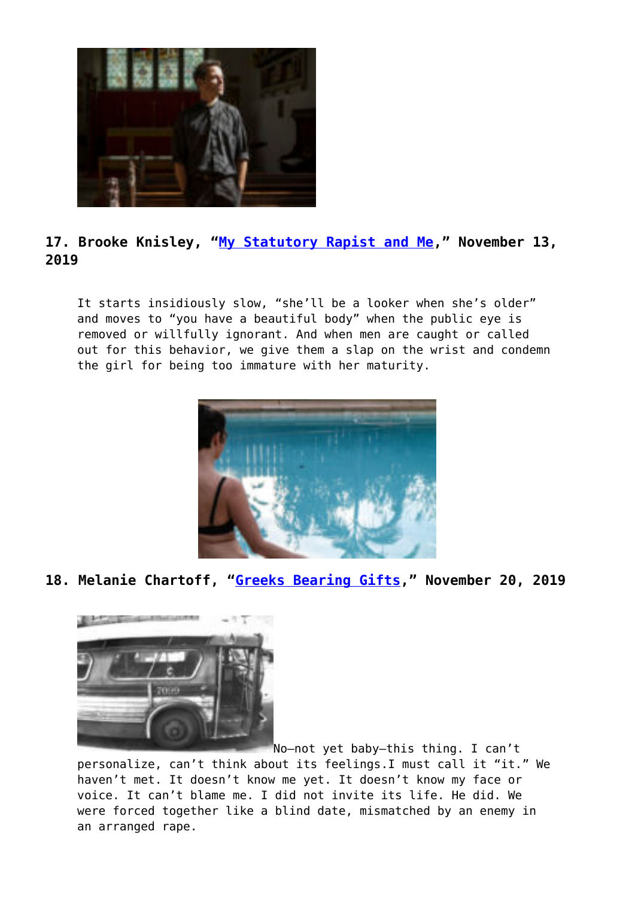

# **17. Brooke Knisley, ["My Statutory Rapist and Me,](https://entropymag.org/woven-my-statutory-rapist-and-me/)" November 13, 2019**

It starts insidiously slow, "she'll be a looker when she's older" and moves to "you have a beautiful body" when the public eye is removed or willfully ignorant. And when men are caught or called out for this behavior, we give them a slap on the wrist and condemn the girl for being too immature with her maturity.



**18. Melanie Chartoff, "[Greeks Bearing Gifts,](https://entropymag.org/woven-greeks-bearing-gifts/)" November 20, 2019**



No—not yet baby—this thing. I can't personalize, can't think about its feelings.I must call it "it." We haven't met. It doesn't know me yet. It doesn't know my face or voice. It can't blame me. I did not invite its life. He did. We were forced together like a blind date, mismatched by an enemy in an arranged rape.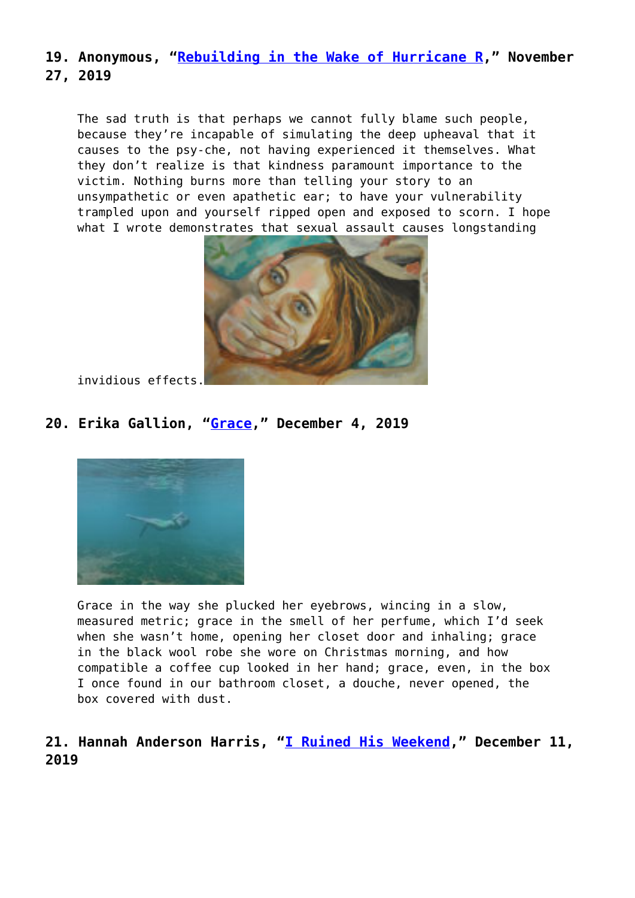## **19. Anonymous, ["Rebuilding in the Wake of Hurricane R](https://entropymag.org/woven-rebuilding-in-the-wake-of-hurricane-r/)," November 27, 2019**

The sad truth is that perhaps we cannot fully blame such people, because they're incapable of simulating the deep upheaval that it causes to the psy-che, not having experienced it themselves. What they don't realize is that kindness paramount importance to the victim. Nothing burns more than telling your story to an unsympathetic or even apathetic ear; to have your vulnerability trampled upon and yourself ripped open and exposed to scorn. I hope what I wrote demonstrates that sexual assault causes longstanding



invidious effects.

# **20. Erika Gallion, ["Grace](https://entropymag.org/woven-grace/)," December 4, 2019**



Grace in the way she plucked her eyebrows, wincing in a slow, measured metric; grace in the smell of her perfume, which I'd seek when she wasn't home, opening her closet door and inhaling; grace in the black wool robe she wore on Christmas morning, and how compatible a coffee cup looked in her hand; grace, even, in the box I once found in our bathroom closet, a douche, never opened, the box covered with dust.

# **21. Hannah Anderson Harris, ["I Ruined His Weekend](https://entropymag.org/woven-i-ruined-his-weekend/)," December 11, 2019**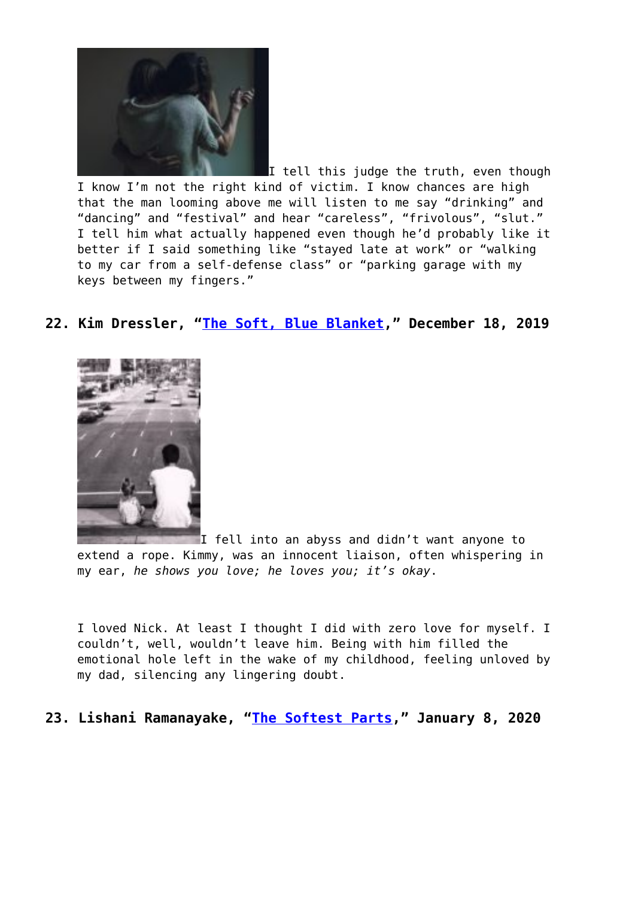

[I](https://entropymag.org/woven-i-ruined-his-weekend/matthewhenry_unsplash/) tell this judge the truth, even though I know I'm not the right kind of victim. I know chances are high that the man looming above me will listen to me say "drinking" and "dancing" and "festival" and hear "careless", "frivolous", "slut." I tell him what actually happened even though he'd probably like it better if I said something like "stayed late at work" or "walking to my car from a self-defense class" or "parking garage with my keys between my fingers."

## **22. Kim Dressler, "[The Soft, Blue Blanket](https://entropymag.org/woven-the-soft-blue-blanket/)," December 18, 2019**



I fell into an abyss and didn't want anyone to extend a rope. Kimmy, was an innocent liaison, often whispering in my ear, *he shows you love; he loves you; it's okay*.

I loved Nick. At least I thought I did with zero love for myself. I couldn't, well, wouldn't leave him. Being with him filled the emotional hole left in the wake of my childhood, feeling unloved by my dad, silencing any lingering doubt.

**23. Lishani Ramanayake, ["The Softest Parts,](https://entropymag.org/woven-the-softest-parts/)" January 8, 2020**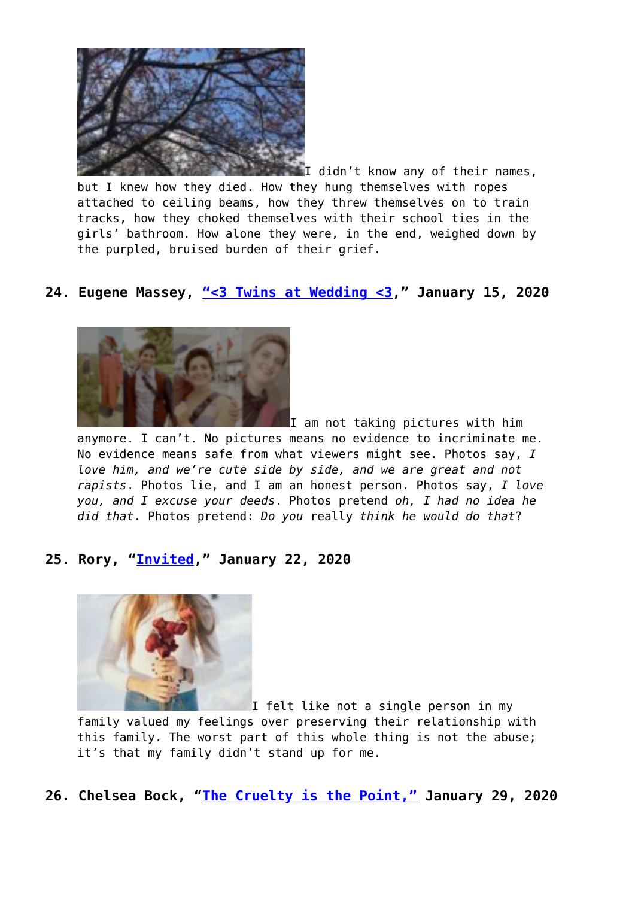

[I](https://entropymag.org/woven-the-softest-parts/image-1-2/) didn't know any of their names, but I knew how they died. How they hung themselves with ropes attached to ceiling beams, how they threw themselves on to train tracks, how they choked themselves with their school ties in the girls' bathroom. How alone they were, in the end, weighed down by the purpled, bruised burden of their grief.

## **24. Eugene Massey, ["<3 Twins at Wedding <3,](https://entropymag.org/woven/)" January 15, 2020**



I am not taking pictures with him

anymore. I can't. No pictures means no evidence to incriminate me. No evidence means safe from what viewers might see. Photos say, *I love him, and we're cute side by side, and we are great and not rapists*. Photos lie, and I am an honest person. Photos say, *I love you, and I excuse your deeds*. Photos pretend *oh, I had no idea he did that*. Photos pretend: *Do you* really *think he would do that*?

#### **25. Rory, "[Invited,](https://entropymag.org/woven-invited/)" January 22, 2020**



I felt like not a single person in my family valued my feelings over preserving their relationship with this family. The worst part of this whole thing is not the abuse; it's that my family didn't stand up for me.

**26. Chelsea Bock, "[The Cruelty is the Point,"](https://entropymag.org/woven-the-cruelty-is-the-point/) January 29, 2020**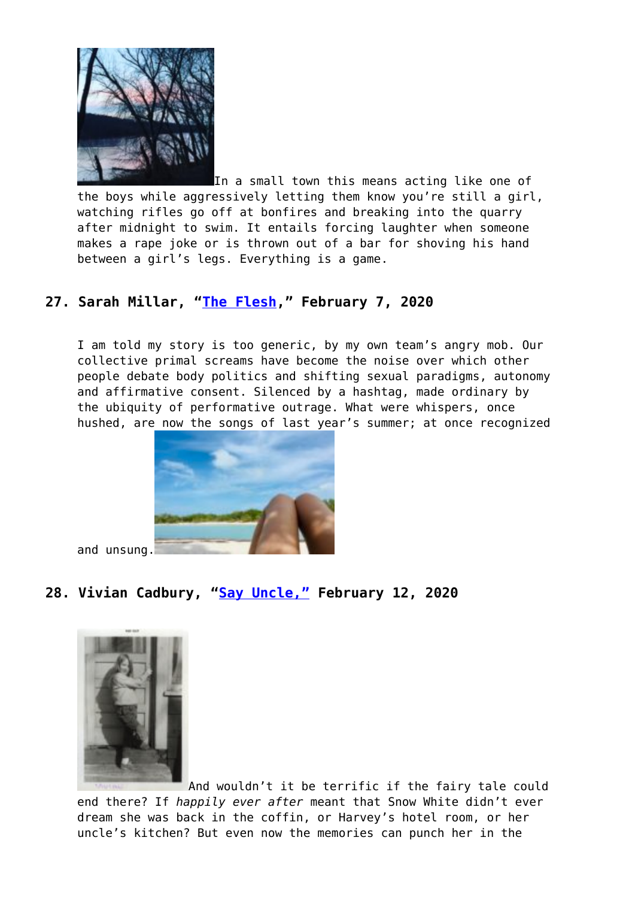

[I](https://entropymag.org/woven-the-cruelty-is-the-point/img_4145/)n a small town this means acting like one of the boys while aggressively letting them know you're still a girl, watching rifles go off at bonfires and breaking into the quarry after midnight to swim. It entails forcing laughter when someone makes a rape joke or is thrown out of a bar for shoving his hand between a girl's legs. Everything is a game.

# **27. Sarah Millar, "[The Flesh](https://entropymag.org/woven-the-flesh/)," February 7, 2020**

I am told my story is too generic, by my own team's angry mob. Our collective primal screams have become the noise over which other people debate body politics and shifting sexual paradigms, autonomy and affirmative consent. Silenced by a hashtag, made ordinary by the ubiquity of performative outrage. What were whispers, once hushed, are now the songs of last year's summer; at once recognized



and unsung[.](https://entropymag.org/woven-the-flesh/image0-4/)

## **28. Vivian Cadbury, ["Say Uncle,"](https://entropymag.org/woven-say-uncle/) February 12, 2020**



[A](https://entropymag.org/woven-say-uncle/cadbury001/)nd wouldn't it be terrific if the fairy tale could end there? If *happily ever after* meant that Snow White didn't ever dream she was back in the coffin, or Harvey's hotel room, or her uncle's kitchen? But even now the memories can punch her in the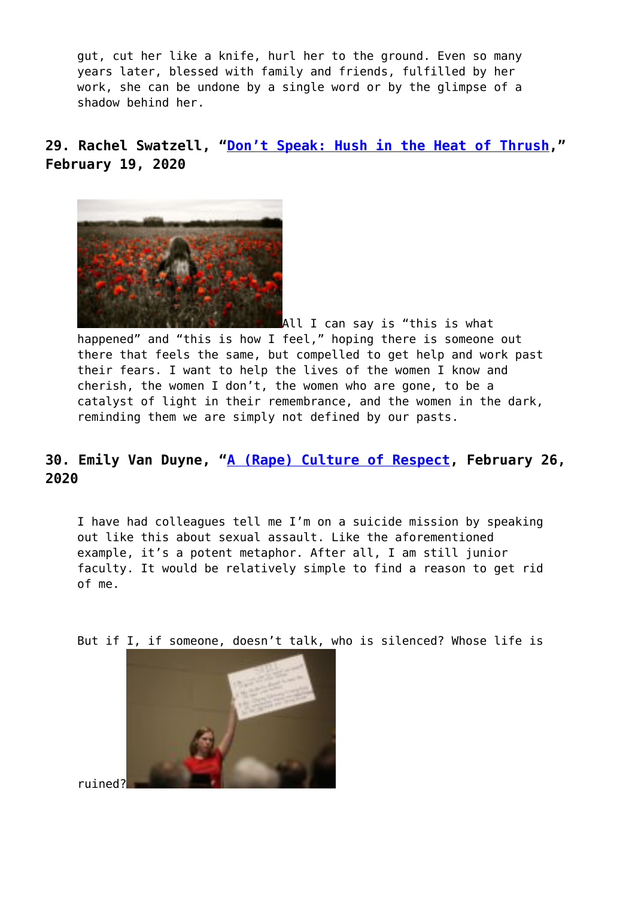gut, cut her like a knife, hurl her to the ground. Even so many years later, blessed with family and friends, fulfilled by her work, she can be undone by a single word or by the glimpse of a shadow behind her.

**29. Rachel Swatzell, "[Don't Speak: Hush in the Heat of Thrush](https://entropymag.org/woven-dont-speak-hush-in-the-heat-of-thrush/)," February 19, 2020**



[A](https://entropymag.org/woven-dont-speak-hush-in-the-heat-of-thrush/girl-in-the-field-with-red-poppies-2560x1600_47679-mm-90/)ll I can say is "this is what happened" and "this is how I feel," hoping there is someone out there that feels the same, but compelled to get help and work past their fears. I want to help the lives of the women I know and cherish, the women I don't, the women who are gone, to be a catalyst of light in their remembrance, and the women in the dark, reminding them we are simply not defined by our pasts.

# **30. Emily Van Duyne, "[A \(Rape\) Culture of Respect](https://entropymag.org/woven-a-rape-culture-of-respect/), February 26, 2020**

I have had colleagues tell me I'm on a suicide mission by speaking out like this about sexual assault. Like the aforementioned example, it's a potent metaphor. After all, I am still junior faculty. It would be relatively simple to find a reason to get rid of me.

But if I, if someone, doesn't talk, who is silenced? Whose life is



ruined?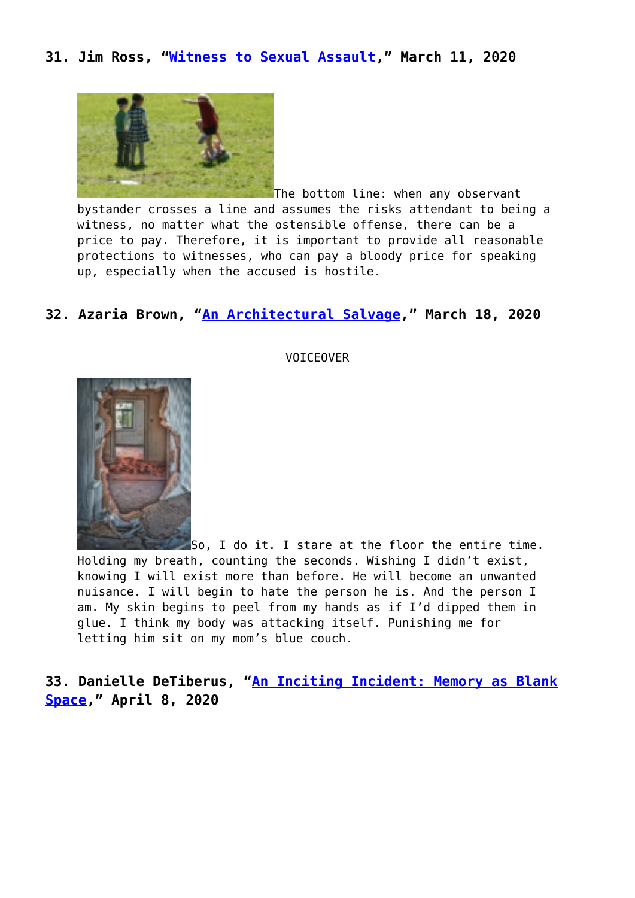#### **31. Jim Ross, "[Witness to Sexual Assault](https://entropymag.org/woven-witness-to-sexual-assault/)," March 11, 2020**



The bottom line: when any observant bystander crosses a line and assumes the risks attendant to being a witness, no matter what the ostensible offense, there can be a price to pay. Therefore, it is important to provide all reasonable protections to witnesses, who can pay a bloody price for speaking up, especially when the accused is hostile.

#### **32. Azaria Brown, "[An Architectural Salvage,](https://entropymag.org/woven-an-architectural-salvage/)" March 18, 2020**



VOICEOVER

So, I do it. I stare at the floor the entire time. Holding my breath, counting the seconds. Wishing I didn't exist, knowing I will exist more than before. He will become an unwanted nuisance. I will begin to hate the person he is. And the person I am. My skin begins to peel from my hands as if I'd dipped them in glue. I think my body was attacking itself. Punishing me for letting him sit on my mom's blue couch.

**33. Danielle DeTiberus, ["An Inciting Incident: Memory as Blank](https://entropymag.org/woven-no-inciting-incident-memory-as-blank-space/) [Space](https://entropymag.org/woven-no-inciting-incident-memory-as-blank-space/)," April 8, 2020**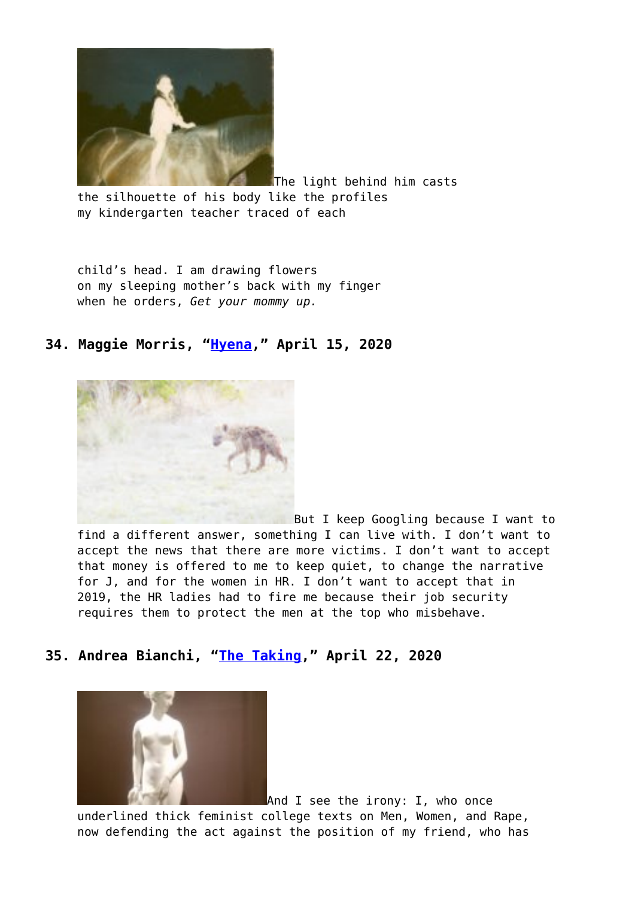

The light behind him casts the silhouette of his body like the profiles my kindergarten teacher traced of each

child's head. I am drawing flowers on my sleeping mother's back with my finger when he orders, *Get your mommy up.*

## **34. Maggie Morris, ["Hyena](https://entropymag.org/woven-hyena/)," April 15, 2020**



[B](https://entropymag.org/woven-hyena/hyena_entropy-copy/)ut I keep Googling because I want to find a different answer, something I can live with. I don't want to accept the news that there are more victims. I don't want to accept that money is offered to me to keep quiet, to change the narrative for J, and for the women in HR. I don't want to accept that in 2019, the HR ladies had to fire me because their job security requires them to protect the men at the top who misbehave.

#### **35. Andrea Bianchi, ["The Taking,](https://entropymag.org/woven-the-taking/)" April 22, 2020**



And I see the irony: I, who once underlined thick feminist college texts on Men, Women, and Rape, now defending the act against the position of my friend, who has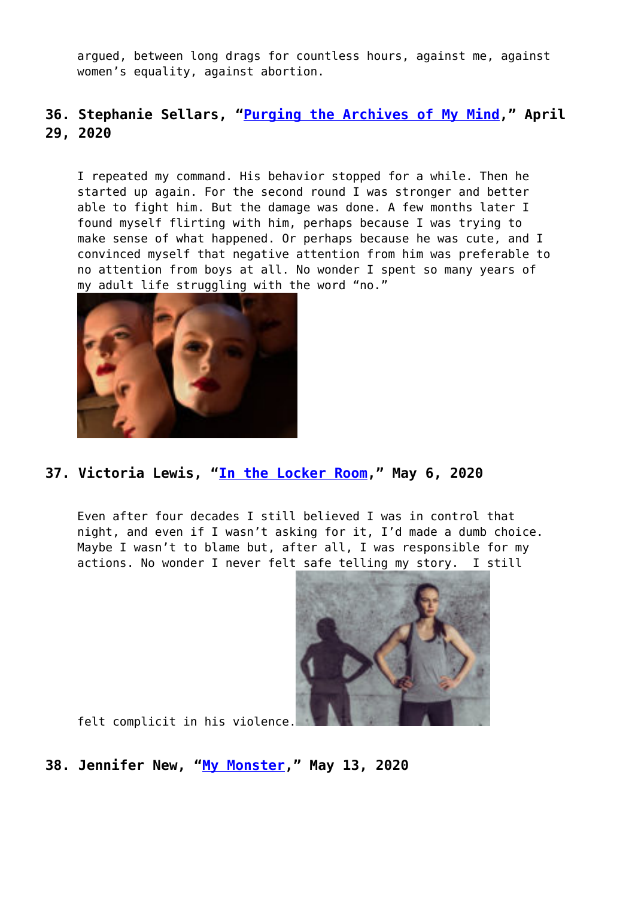argued, between long drags for countless hours, against me, against women's equality, against abortion.

## **36. Stephanie Sellars, ["Purging the Archives of My Mind,](https://entropymag.org/woven-purging-the-archives-of-my-mind/)" April 29, 2020**

I repeated my command. His behavior stopped for a while. Then he started up again. For the second round I was stronger and better able to fight him. But the damage was done. A few months later I found myself flirting with him, perhaps because I was trying to make sense of what happened. Or perhaps because he was cute, and I convinced myself that negative attention from him was preferable to no attention from boys at all. No wonder I spent so many years of my adult life struggling with the word "no."



#### **37. Victoria Lewis, ["In the Locker Room,](https://entropymag.org/woven-in-the-locker-room/)" May 6, 2020**

Even after four decades I still believed I was in control that night, and even if I wasn't asking for it, I'd made a dumb choice. Maybe I wasn't to blame but, after all, I was responsible for my actions. No wonder I never felt safe telling my story. I still



felt complicit in his violence.

#### **38. Jennifer New, "[My Monster](https://entropymag.org/woven-my-monster/)," May 13, 2020**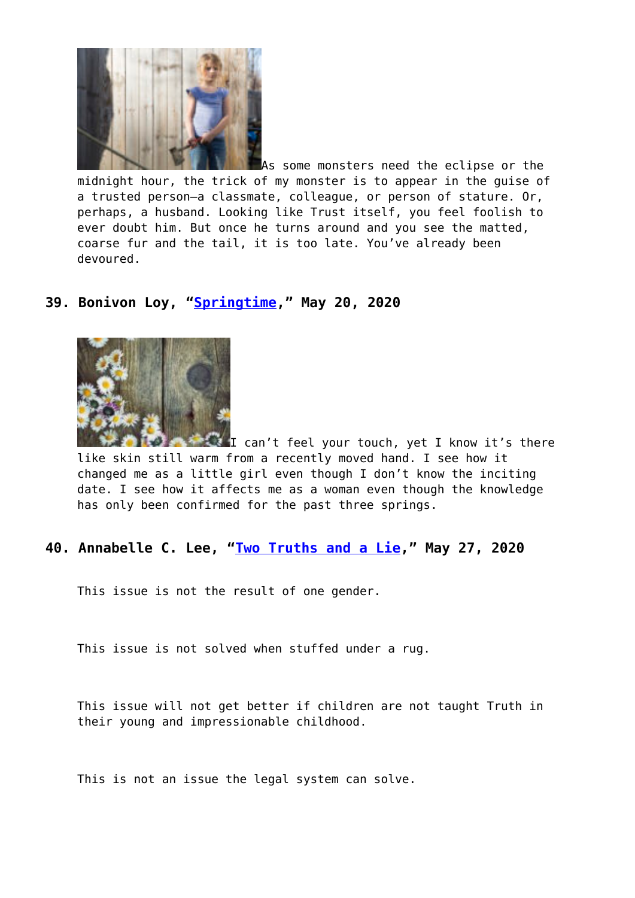

As some monsters need the eclipse or the midnight hour, the trick of my monster is to appear in the guise of a trusted person—a classmate, colleague, or person of stature. Or, perhaps, a husband. Looking like Trust itself, you feel foolish to ever doubt him. But once he turns around and you see the matted, coarse fur and the tail, it is too late. You've already been devoured.

# **39. Bonivon Loy, "[Springtime](https://entropymag.org/woven-springtime/)," May 20, 2020**



[I](https://entropymag.org/woven-springtime/img_0003-copy/) can't feel your touch, yet I know it's there like skin still warm from a recently moved hand. I see how it changed me as a little girl even though I don't know the inciting date. I see how it affects me as a woman even though the knowledge has only been confirmed for the past three springs.

#### **40. Annabelle C. Lee, "[Two Truths and a Lie,](https://entropymag.org/woven-two-truths-and-a-lie/)" May 27, 2020**

This issue is not the result of one gender.

This issue is not solved when stuffed under a rug.

This issue will not get better if children are not taught Truth in their young and impressionable childhood.

This is not an issue the legal system can solve.